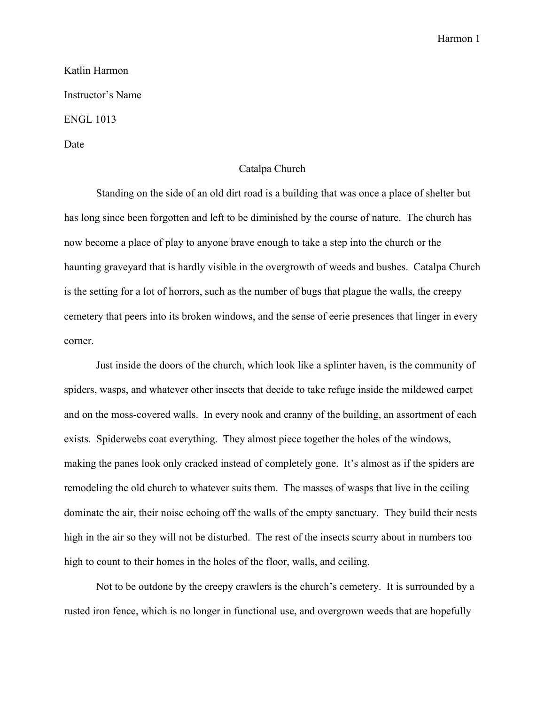Harmon 1

Katlin Harmon Instructor's Name ENGL 1013 Date

## Catalpa Church

Standing on the side of an old dirt road is a building that was once a place of shelter but has long since been forgotten and left to be diminished by the course of nature. The church has now become a place of play to anyone brave enough to take a step into the church or the haunting graveyard that is hardly visible in the overgrowth of weeds and bushes. Catalpa Church is the setting for a lot of horrors, such as the number of bugs that plague the walls, the creepy cemetery that peers into its broken windows, and the sense of eerie presences that linger in every corner.

Just inside the doors of the church, which look like a splinter haven, is the community of spiders, wasps, and whatever other insects that decide to take refuge inside the mildewed carpet and on the moss-covered walls. In every nook and cranny of the building, an assortment of each exists. Spiderwebs coat everything. They almost piece together the holes of the windows, making the panes look only cracked instead of completely gone. It's almost as if the spiders are remodeling the old church to whatever suits them. The masses of wasps that live in the ceiling dominate the air, their noise echoing off the walls of the empty sanctuary. They build their nests high in the air so they will not be disturbed. The rest of the insects scurry about in numbers too high to count to their homes in the holes of the floor, walls, and ceiling.

Not to be outdone by the creepy crawlers is the church's cemetery. It is surrounded by a rusted iron fence, which is no longer in functional use, and overgrown weeds that are hopefully